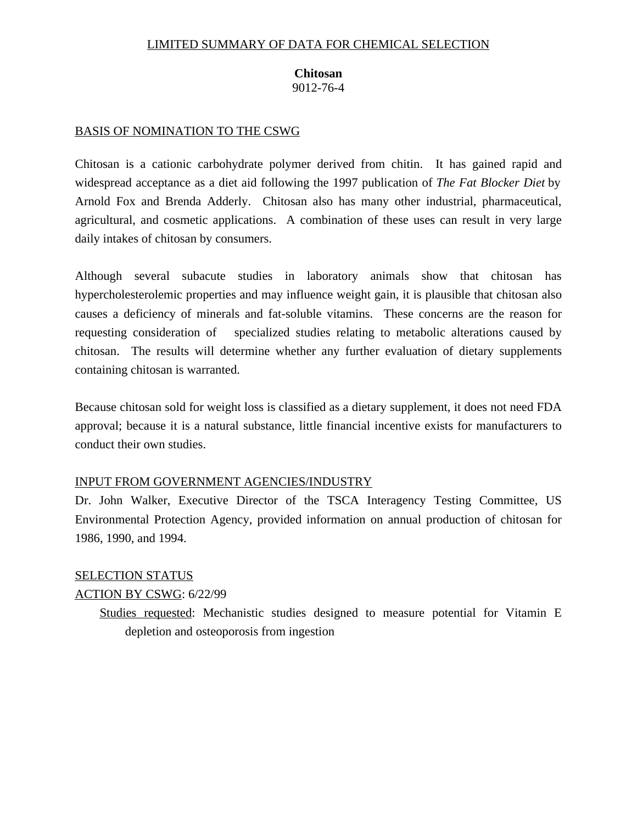## LIMITED SUMMARY OF DATA FOR CHEMICAL SELECTION

## **Chitosan**  9012-76-4

## BASIS OF NOMINATION TO THE CSWG

Chitosan is a cationic carbohydrate polymer derived from chitin. It has gained rapid and widespread acceptance as a diet aid following the 1997 publication of *The Fat Blocker Diet* by Arnold Fox and Brenda Adderly. Chitosan also has many other industrial, pharmaceutical, agricultural, and cosmetic applications. A combination of these uses can result in very large daily intakes of chitosan by consumers.

Although several subacute studies in laboratory animals show that chitosan has hypercholesterolemic properties and may influence weight gain, it is plausible that chitosan also causes a deficiency of minerals and fat-soluble vitamins. These concerns are the reason for requesting consideration of specialized studies relating to metabolic alterations caused by chitosan. The results will determine whether any further evaluation of dietary supplements containing chitosan is warranted.

Because chitosan sold for weight loss is classified as a dietary supplement, it does not need FDA approval; because it is a natural substance, little financial incentive exists for manufacturers to conduct their own studies.

### INPUT FROM GOVERNMENT AGENCIES/INDUSTRY

Dr. John Walker, Executive Director of the TSCA Interagency Testing Committee, US Environmental Protection Agency, provided information on annual production of chitosan for 1986, 1990, and 1994.

# SELECTION STATUS

## ACTION BY CSWG: 6/22/99

Studies requested: Mechanistic studies designed to measure potential for Vitamin E depletion and osteoporosis from ingestion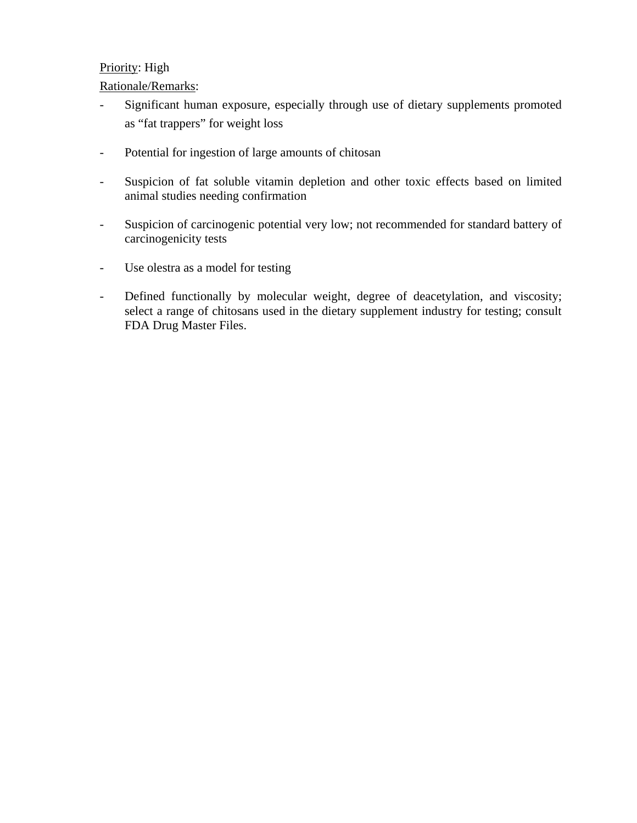# Priority: High

# Rationale/Remarks:

- Significant human exposure, especially through use of dietary supplements promoted as "fat trappers" for weight loss
- Potential for ingestion of large amounts of chitosan
- Suspicion of fat soluble vitamin depletion and other toxic effects based on limited animal studies needing confirmation
- Suspicion of carcinogenic potential very low; not recommended for standard battery of carcinogenicity tests
- Use olestra as a model for testing
- Defined functionally by molecular weight, degree of deacetylation, and viscosity; select a range of chitosans used in the dietary supplement industry for testing; consult FDA Drug Master Files.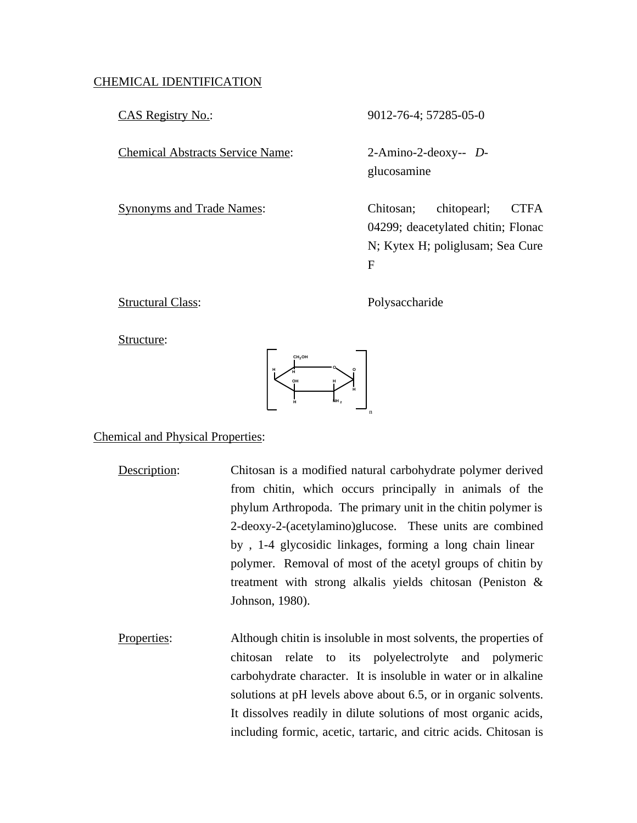## CHEMICAL IDENTIFICATION

Chemical Abstracts Service Name: 2-Amino-2-deoxy-- *D*-

CAS Registry No.: 9012-76-4; 57285-05-0

glucosamine

Synonyms and Trade Names: Chitosan; chitopearl; CTFA 04299; deacetylated chitin; Flonac N; Kytex H; poliglusam; Sea Cure F

Structural Class: Polysaccharide

Structure:



Chemical and Physical Properties:

- Description: Chitosan is a modified natural carbohydrate polymer derived from chitin, which occurs principally in animals of the phylum Arthropoda. The primary unit in the chitin polymer is 2-deoxy-2-(acetylamino)glucose. These units are combined by , 1-4 glycosidic linkages, forming a long chain linear polymer. Removal of most of the acetyl groups of chitin by treatment with strong alkalis yields chitosan (Peniston & Johnson, 1980).
- Properties: Although chitin is insoluble in most solvents, the properties of chitosan relate to its polyelectrolyte and polymeric carbohydrate character. It is insoluble in water or in alkaline solutions at pH levels above about 6.5, or in organic solvents. It dissolves readily in dilute solutions of most organic acids, including formic, acetic, tartaric, and citric acids. Chitosan is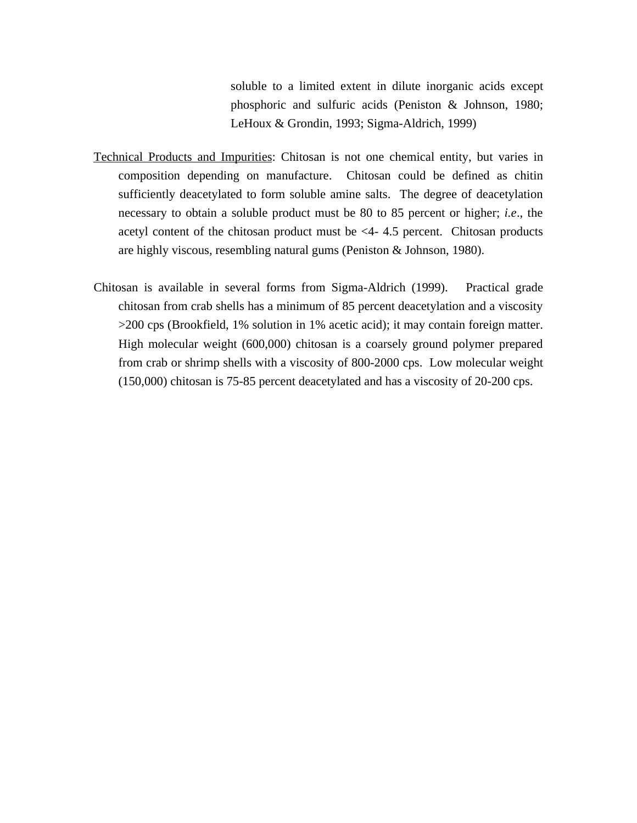soluble to a limited extent in dilute inorganic acids except phosphoric and sulfuric acids (Peniston & Johnson, 1980; LeHoux & Grondin, 1993; Sigma-Aldrich, 1999)

- Technical Products and Impurities: Chitosan is not one chemical entity, but varies in composition depending on manufacture. Chitosan could be defined as chitin sufficiently deacetylated to form soluble amine salts. The degree of deacetylation necessary to obtain a soluble product must be 80 to 85 percent or higher; *i.e*., the acetyl content of the chitosan product must be <4- 4.5 percent. Chitosan products are highly viscous, resembling natural gums (Peniston & Johnson, 1980).
- Chitosan is available in several forms from Sigma-Aldrich (1999). Practical grade chitosan from crab shells has a minimum of 85 percent deacetylation and a viscosity >200 cps (Brookfield, 1% solution in 1% acetic acid); it may contain foreign matter. High molecular weight (600,000) chitosan is a coarsely ground polymer prepared from crab or shrimp shells with a viscosity of 800-2000 cps. Low molecular weight (150,000) chitosan is 75-85 percent deacetylated and has a viscosity of 20-200 cps.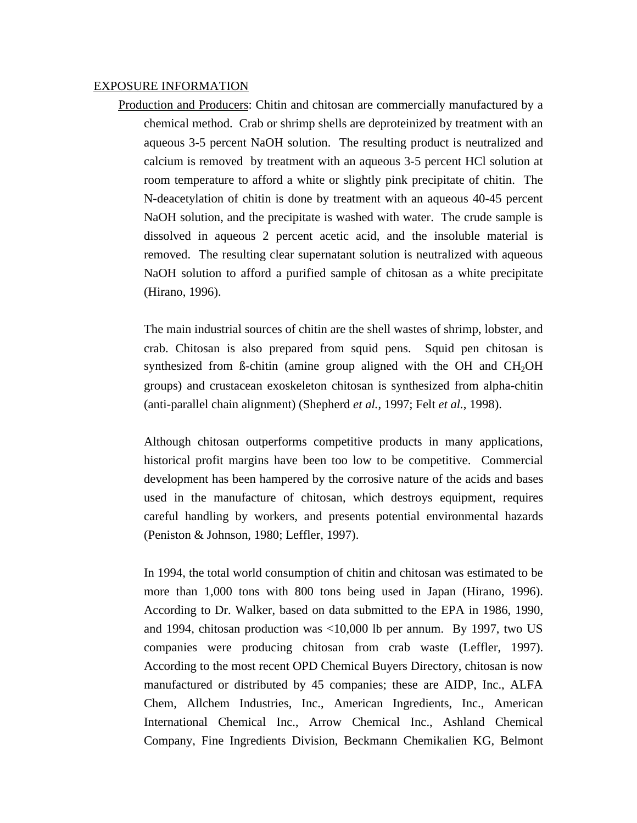#### EXPOSURE INFORMATION

Production and Producers: Chitin and chitosan are commercially manufactured by a chemical method. Crab or shrimp shells are deproteinized by treatment with an aqueous 3-5 percent NaOH solution. The resulting product is neutralized and calcium is removed by treatment with an aqueous 3-5 percent HCl solution at room temperature to afford a white or slightly pink precipitate of chitin. The N-deacetylation of chitin is done by treatment with an aqueous 40-45 percent NaOH solution, and the precipitate is washed with water. The crude sample is dissolved in aqueous 2 percent acetic acid, and the insoluble material is removed. The resulting clear supernatant solution is neutralized with aqueous NaOH solution to afford a purified sample of chitosan as a white precipitate (Hirano, 1996).

The main industrial sources of chitin are the shell wastes of shrimp, lobster, and crab. Chitosan is also prepared from squid pens. Squid pen chitosan is synthesized from  $\beta$ -chitin (amine group aligned with the OH and CH<sub>2</sub>OH groups) and crustacean exoskeleton chitosan is synthesized from alpha-chitin (anti-parallel chain alignment) (Shepherd *et al.*, 1997; Felt *et al.*, 1998).

Although chitosan outperforms competitive products in many applications, historical profit margins have been too low to be competitive. Commercial development has been hampered by the corrosive nature of the acids and bases used in the manufacture of chitosan, which destroys equipment, requires careful handling by workers, and presents potential environmental hazards (Peniston & Johnson, 1980; Leffler, 1997).

In 1994, the total world consumption of chitin and chitosan was estimated to be more than 1,000 tons with 800 tons being used in Japan (Hirano, 1996). According to Dr. Walker, based on data submitted to the EPA in 1986, 1990, and 1994, chitosan production was <10,000 lb per annum. By 1997, two US companies were producing chitosan from crab waste (Leffler, 1997). According to the most recent OPD Chemical Buyers Directory, chitosan is now manufactured or distributed by 45 companies; these are AIDP, Inc., ALFA Chem, Allchem Industries, Inc., American Ingredients, Inc., American International Chemical Inc., Arrow Chemical Inc., Ashland Chemical Company, Fine Ingredients Division, Beckmann Chemikalien KG, Belmont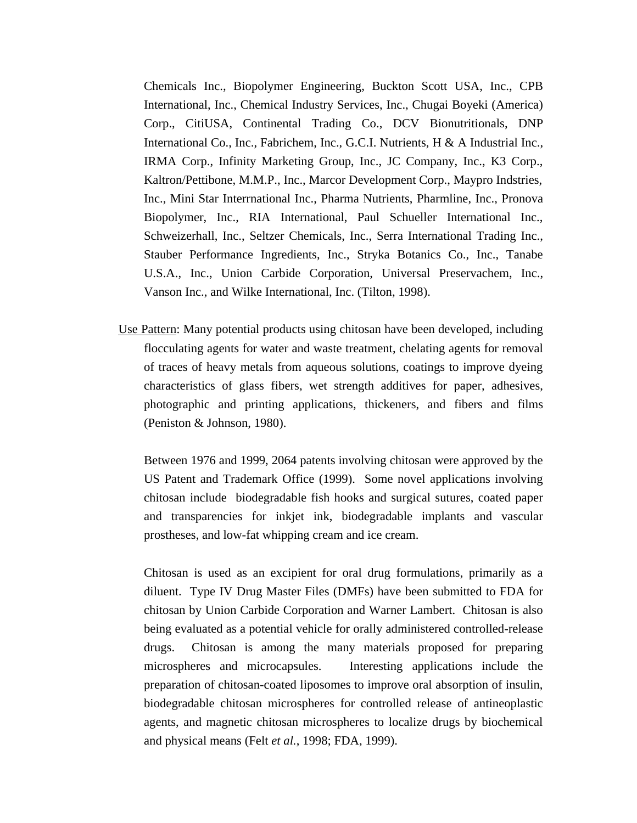Chemicals Inc., Biopolymer Engineering, Buckton Scott USA, Inc., CPB International, Inc., Chemical Industry Services, Inc., Chugai Boyeki (America) Corp., CitiUSA, Continental Trading Co., DCV Bionutritionals, DNP International Co., Inc., Fabrichem, Inc., G.C.I. Nutrients, H & A Industrial Inc., IRMA Corp., Infinity Marketing Group, Inc., JC Company, Inc., K3 Corp., Kaltron/Pettibone, M.M.P., Inc., Marcor Development Corp., Maypro Indstries, Inc., Mini Star Interrnational Inc., Pharma Nutrients, Pharmline, Inc., Pronova Biopolymer, Inc., RIA International, Paul Schueller International Inc., Schweizerhall, Inc., Seltzer Chemicals, Inc., Serra International Trading Inc., Stauber Performance Ingredients, Inc., Stryka Botanics Co., Inc., Tanabe U.S.A., Inc., Union Carbide Corporation, Universal Preservachem, Inc., Vanson Inc., and Wilke International, Inc. (Tilton, 1998).

Use Pattern: Many potential products using chitosan have been developed, including flocculating agents for water and waste treatment, chelating agents for removal of traces of heavy metals from aqueous solutions, coatings to improve dyeing characteristics of glass fibers, wet strength additives for paper, adhesives, photographic and printing applications, thickeners, and fibers and films (Peniston & Johnson, 1980).

Between 1976 and 1999, 2064 patents involving chitosan were approved by the US Patent and Trademark Office (1999). Some novel applications involving chitosan include biodegradable fish hooks and surgical sutures, coated paper and transparencies for inkjet ink, biodegradable implants and vascular prostheses, and low-fat whipping cream and ice cream.

Chitosan is used as an excipient for oral drug formulations, primarily as a diluent. Type IV Drug Master Files (DMFs) have been submitted to FDA for chitosan by Union Carbide Corporation and Warner Lambert. Chitosan is also being evaluated as a potential vehicle for orally administered controlled-release drugs. Chitosan is among the many materials proposed for preparing microspheres and microcapsules. Interesting applications include the preparation of chitosan-coated liposomes to improve oral absorption of insulin, biodegradable chitosan microspheres for controlled release of antineoplastic agents, and magnetic chitosan microspheres to localize drugs by biochemical and physical means (Felt *et al.*, 1998; FDA, 1999).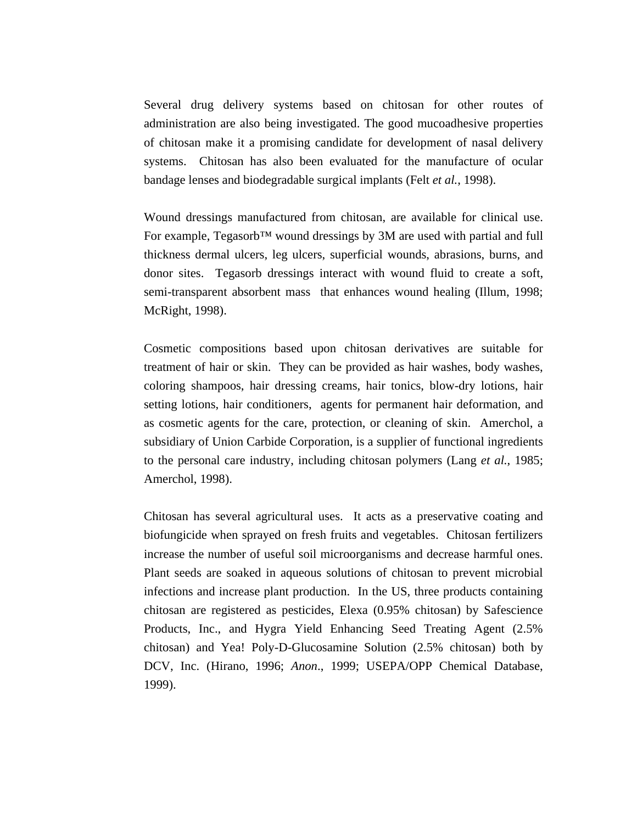Several drug delivery systems based on chitosan for other routes of administration are also being investigated. The good mucoadhesive properties of chitosan make it a promising candidate for development of nasal delivery systems. Chitosan has also been evaluated for the manufacture of ocular bandage lenses and biodegradable surgical implants (Felt *et al.*, 1998).

Wound dressings manufactured from chitosan, are available for clinical use. For example, Tegasorb<sup>™</sup> wound dressings by 3M are used with partial and full thickness dermal ulcers, leg ulcers, superficial wounds, abrasions, burns, and donor sites. Tegasorb dressings interact with wound fluid to create a soft, semi-transparent absorbent mass that enhances wound healing (Illum, 1998; McRight, 1998).

Cosmetic compositions based upon chitosan derivatives are suitable for treatment of hair or skin. They can be provided as hair washes, body washes, coloring shampoos, hair dressing creams, hair tonics, blow-dry lotions, hair setting lotions, hair conditioners, agents for permanent hair deformation, and as cosmetic agents for the care, protection, or cleaning of skin. Amerchol, a subsidiary of Union Carbide Corporation, is a supplier of functional ingredients to the personal care industry, including chitosan polymers (Lang *et al.*, 1985; Amerchol, 1998).

Chitosan has several agricultural uses. It acts as a preservative coating and biofungicide when sprayed on fresh fruits and vegetables. Chitosan fertilizers increase the number of useful soil microorganisms and decrease harmful ones. Plant seeds are soaked in aqueous solutions of chitosan to prevent microbial infections and increase plant production. In the US, three products containing chitosan are registered as pesticides, Elexa (0.95% chitosan) by Safescience Products, Inc., and Hygra Yield Enhancing Seed Treating Agent (2.5% chitosan) and Yea! Poly-D-Glucosamine Solution (2.5% chitosan) both by DCV, Inc. (Hirano, 1996; *Anon*., 1999; USEPA/OPP Chemical Database, 1999).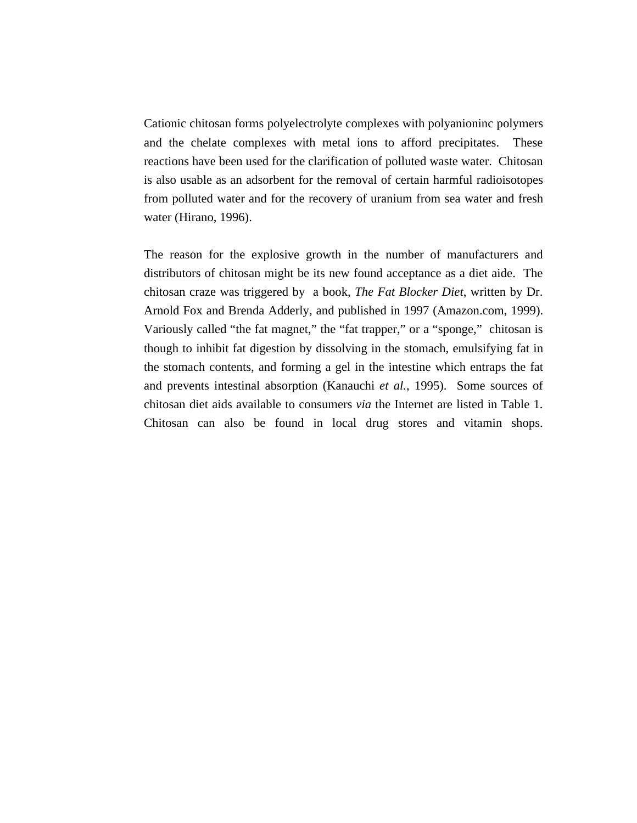Cationic chitosan forms polyelectrolyte complexes with polyanioninc polymers and the chelate complexes with metal ions to afford precipitates. These reactions have been used for the clarification of polluted waste water. Chitosan is also usable as an adsorbent for the removal of certain harmful radioisotopes from polluted water and for the recovery of uranium from sea water and fresh water (Hirano, 1996).

The reason for the explosive growth in the number of manufacturers and distributors of chitosan might be its new found acceptance as a diet aide. The chitosan craze was triggered by a book, *The Fat Blocker Diet*, written by Dr. Arnold Fox and Brenda Adderly, and published in 1997 (Amazon.com, 1999). Variously called "the fat magnet," the "fat trapper," or a "sponge," chitosan is though to inhibit fat digestion by dissolving in the stomach, emulsifying fat in the stomach contents, and forming a gel in the intestine which entraps the fat and prevents intestinal absorption (Kanauchi *et al.*, 1995). Some sources of chitosan diet aids available to consumers *via* the Internet are listed in Table 1. Chitosan can also be found in local drug stores and vitamin shops.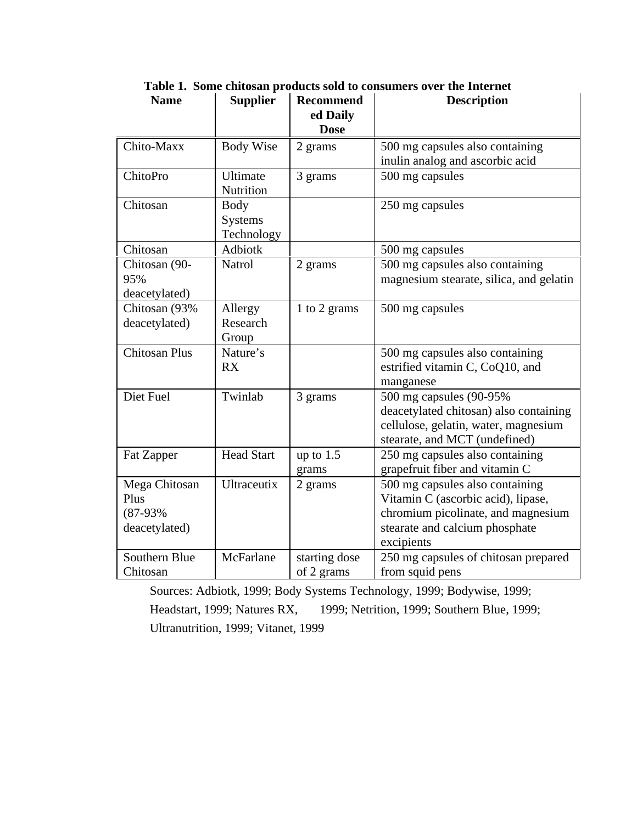| <b>Name</b>          | <b>Supplier</b>    | <b>Recommend</b><br>ed Daily | <b>Description</b>                      |
|----------------------|--------------------|------------------------------|-----------------------------------------|
|                      |                    | <b>Dose</b>                  |                                         |
| Chito-Maxx           | <b>Body Wise</b>   | 2 grams                      | 500 mg capsules also containing         |
|                      |                    |                              | inulin analog and ascorbic acid         |
| ChitoPro             | Ultimate           | 3 grams                      | 500 mg capsules                         |
|                      | Nutrition          |                              |                                         |
| Chitosan             | Body               |                              | 250 mg capsules                         |
|                      | <b>Systems</b>     |                              |                                         |
|                      | Technology         |                              |                                         |
| Chitosan             | Adbiotk            |                              | 500 mg capsules                         |
| Chitosan (90-        | Natrol             | 2 grams                      | 500 mg capsules also containing         |
| 95%                  |                    |                              | magnesium stearate, silica, and gelatin |
| deacetylated)        |                    |                              |                                         |
| Chitosan (93%        | Allergy            | 1 to 2 grams                 | 500 mg capsules                         |
| deacetylated)        | Research           |                              |                                         |
|                      | Group              |                              |                                         |
| <b>Chitosan Plus</b> | Nature's           |                              | 500 mg capsules also containing         |
|                      | <b>RX</b>          |                              | estrified vitamin C, CoQ10, and         |
|                      |                    |                              | manganese                               |
| Diet Fuel            | Twinlab            | 3 grams                      | 500 mg capsules (90-95%)                |
|                      |                    |                              | deacetylated chitosan) also containing  |
|                      |                    |                              | cellulose, gelatin, water, magnesium    |
|                      |                    |                              | stearate, and MCT (undefined)           |
| Fat Zapper           | <b>Head Start</b>  | up to $1.5$                  | 250 mg capsules also containing         |
|                      |                    | grams                        | grapefruit fiber and vitamin C          |
| Mega Chitosan        | <b>Ultraceutix</b> | 2 grams                      | 500 mg capsules also containing         |
| Plus                 |                    |                              | Vitamin C (ascorbic acid), lipase,      |
| $(87-93%$            |                    |                              | chromium picolinate, and magnesium      |
| deacetylated)        |                    |                              | stearate and calcium phosphate          |
|                      |                    |                              | excipients                              |
| Southern Blue        | McFarlane          | starting dose                | 250 mg capsules of chitosan prepared    |
| Chitosan             |                    | of 2 grams                   | from squid pens                         |

**Table 1. Some chitosan products sold to consumers over the Internet**  Name | Supplier | Recommend | Description

 Headstart, 1999; Natures RX, 1999; Netrition, 1999; Southern Blue, 1999; Sources: Adbiotk, 1999; Body Systems Technology, 1999; Bodywise, 1999; Ultranutrition, 1999; Vitanet, 1999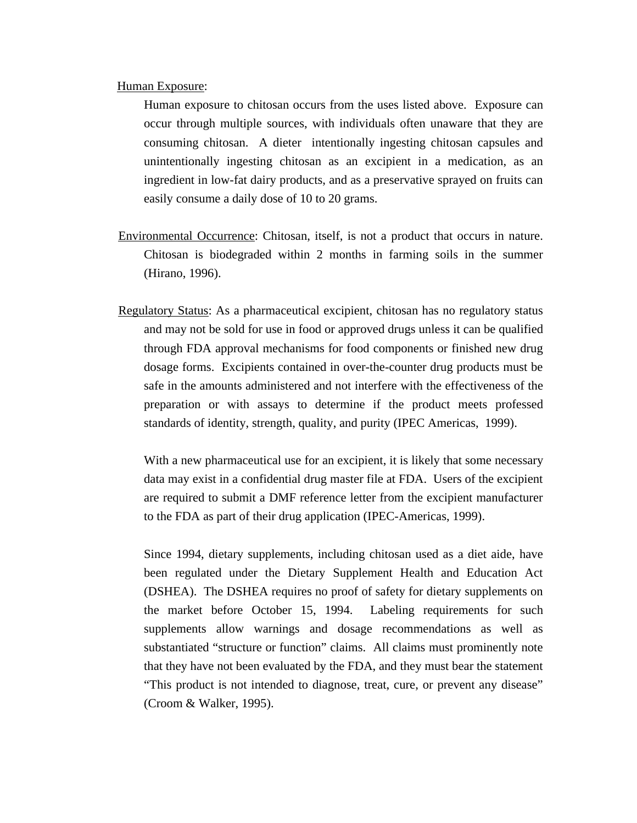#### Human Exposure:

Human exposure to chitosan occurs from the uses listed above. Exposure can occur through multiple sources, with individuals often unaware that they are consuming chitosan. A dieter intentionally ingesting chitosan capsules and unintentionally ingesting chitosan as an excipient in a medication, as an ingredient in low-fat dairy products, and as a preservative sprayed on fruits can easily consume a daily dose of 10 to 20 grams.

- Environmental Occurrence: Chitosan, itself, is not a product that occurs in nature. Chitosan is biodegraded within 2 months in farming soils in the summer (Hirano, 1996).
- Regulatory Status: As a pharmaceutical excipient, chitosan has no regulatory status and may not be sold for use in food or approved drugs unless it can be qualified through FDA approval mechanisms for food components or finished new drug dosage forms. Excipients contained in over-the-counter drug products must be safe in the amounts administered and not interfere with the effectiveness of the preparation or with assays to determine if the product meets professed standards of identity, strength, quality, and purity (IPEC Americas, 1999).

With a new pharmaceutical use for an excipient, it is likely that some necessary data may exist in a confidential drug master file at FDA. Users of the excipient are required to submit a DMF reference letter from the excipient manufacturer to the FDA as part of their drug application (IPEC-Americas, 1999).

Since 1994, dietary supplements, including chitosan used as a diet aide, have been regulated under the Dietary Supplement Health and Education Act (DSHEA). The DSHEA requires no proof of safety for dietary supplements on the market before October 15, 1994. Labeling requirements for such supplements allow warnings and dosage recommendations as well as substantiated "structure or function" claims. All claims must prominently note that they have not been evaluated by the FDA, and they must bear the statement "This product is not intended to diagnose, treat, cure, or prevent any disease" (Croom & Walker, 1995).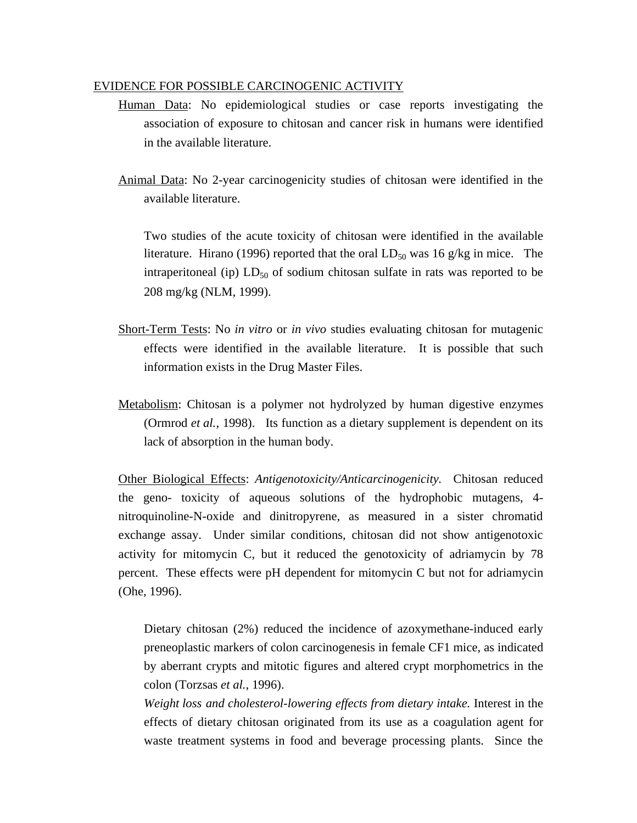### EVIDENCE FOR POSSIBLE CARCINOGENIC ACTIVITY

- Human Data: No epidemiological studies or case reports investigating the association of exposure to chitosan and cancer risk in humans were identified in the available literature.
- Animal Data: No 2-year carcinogenicity studies of chitosan were identified in the available literature.

Two studies of the acute toxicity of chitosan were identified in the available literature. Hirano (1996) reported that the oral  $LD_{50}$  was 16 g/kg in mice. The intraperitoneal (ip)  $LD_{50}$  of sodium chitosan sulfate in rats was reported to be 208 mg/kg (NLM, 1999).

- Short-Term Tests: No *in vitro* or *in vivo* studies evaluating chitosan for mutagenic effects were identified in the available literature. It is possible that such information exists in the Drug Master Files.
- Metabolism: Chitosan is a polymer not hydrolyzed by human digestive enzymes (Ormrod *et al.*, 1998). Its function as a dietary supplement is dependent on its lack of absorption in the human body.

Other Biological Effects: *Antigenotoxicity/Anticarcinogenicity.* Chitosan reduced the geno- toxicity of aqueous solutions of the hydrophobic mutagens, 4 nitroquinoline-N-oxide and dinitropyrene, as measured in a sister chromatid exchange assay. Under similar conditions, chitosan did not show antigenotoxic activity for mitomycin C, but it reduced the genotoxicity of adriamycin by 78 percent. These effects were pH dependent for mitomycin C but not for adriamycin (Ohe, 1996).

Dietary chitosan (2%) reduced the incidence of azoxymethane-induced early preneoplastic markers of colon carcinogenesis in female CF1 mice, as indicated by aberrant crypts and mitotic figures and altered crypt morphometrics in the colon (Torzsas *et al.*, 1996).

*Weight loss and cholesterol-lowering effects from dietary intake.* Interest in the effects of dietary chitosan originated from its use as a coagulation agent for waste treatment systems in food and beverage processing plants. Since the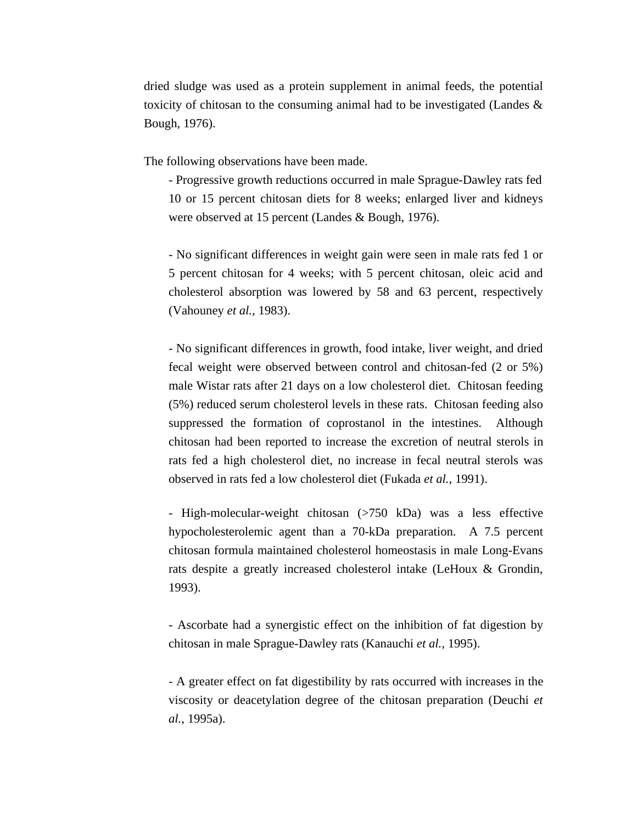dried sludge was used as a protein supplement in animal feeds, the potential toxicity of chitosan to the consuming animal had to be investigated (Landes & Bough, 1976).

The following observations have been made.

- Progressive growth reductions occurred in male Sprague-Dawley rats fed 10 or 15 percent chitosan diets for 8 weeks; enlarged liver and kidneys were observed at 15 percent (Landes & Bough, 1976).

- No significant differences in weight gain were seen in male rats fed 1 or 5 percent chitosan for 4 weeks; with 5 percent chitosan, oleic acid and cholesterol absorption was lowered by 58 and 63 percent, respectively (Vahouney *et al.*, 1983).

- No significant differences in growth, food intake, liver weight, and dried fecal weight were observed between control and chitosan-fed (2 or 5%) male Wistar rats after 21 days on a low cholesterol diet. Chitosan feeding (5%) reduced serum cholesterol levels in these rats. Chitosan feeding also suppressed the formation of coprostanol in the intestines. Although chitosan had been reported to increase the excretion of neutral sterols in rats fed a high cholesterol diet, no increase in fecal neutral sterols was observed in rats fed a low cholesterol diet (Fukada *et al.*, 1991).

- High-molecular-weight chitosan (>750 kDa) was a less effective hypocholesterolemic agent than a 70-kDa preparation. A 7.5 percent chitosan formula maintained cholesterol homeostasis in male Long-Evans rats despite a greatly increased cholesterol intake (LeHoux & Grondin, 1993).

- Ascorbate had a synergistic effect on the inhibition of fat digestion by chitosan in male Sprague-Dawley rats (Kanauchi *et al.*, 1995).

- A greater effect on fat digestibility by rats occurred with increases in the viscosity or deacetylation degree of the chitosan preparation (Deuchi *et al.*, 1995a).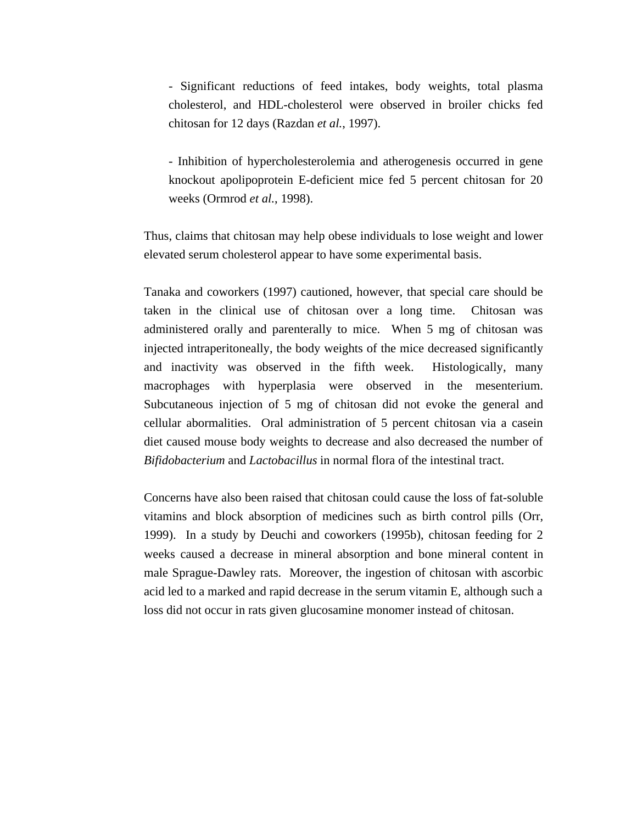- Significant reductions of feed intakes, body weights, total plasma cholesterol, and HDL-cholesterol were observed in broiler chicks fed chitosan for 12 days (Razdan *et al.*, 1997).

- Inhibition of hypercholesterolemia and atherogenesis occurred in gene knockout apolipoprotein E-deficient mice fed 5 percent chitosan for 20 weeks (Ormrod *et al.*, 1998).

Thus, claims that chitosan may help obese individuals to lose weight and lower elevated serum cholesterol appear to have some experimental basis.

Tanaka and coworkers (1997) cautioned, however, that special care should be taken in the clinical use of chitosan over a long time. Chitosan was administered orally and parenterally to mice. When 5 mg of chitosan was injected intraperitoneally, the body weights of the mice decreased significantly and inactivity was observed in the fifth week. Histologically, many macrophages with hyperplasia were observed in the mesenterium. Subcutaneous injection of 5 mg of chitosan did not evoke the general and cellular abormalities. Oral administration of 5 percent chitosan via a casein diet caused mouse body weights to decrease and also decreased the number of *Bifidobacterium* and *Lactobacillus* in normal flora of the intestinal tract.

Concerns have also been raised that chitosan could cause the loss of fat-soluble vitamins and block absorption of medicines such as birth control pills (Orr, 1999). In a study by Deuchi and coworkers (1995b), chitosan feeding for 2 weeks caused a decrease in mineral absorption and bone mineral content in male Sprague-Dawley rats. Moreover, the ingestion of chitosan with ascorbic acid led to a marked and rapid decrease in the serum vitamin E, although such a loss did not occur in rats given glucosamine monomer instead of chitosan.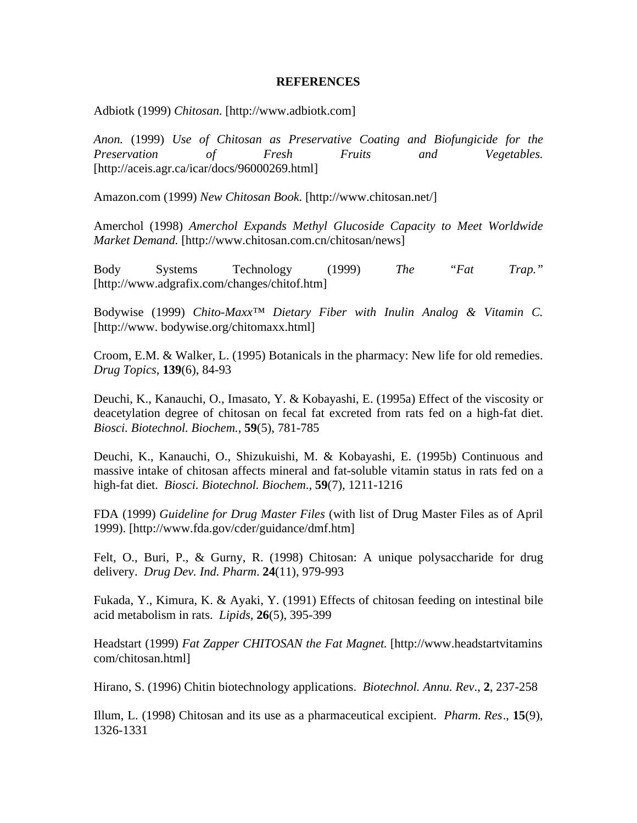#### **REFERENCES**

Adbiotk (1999) *Chitosan*. [http://www.adbiotk.com]

*Anon.* (1999) *Use of Chitosan as Preservative Coating and Biofungicide for the Preservation of Fresh Fruits and Vegetables.*  [http://aceis.agr.ca/icar/docs/96000269.html]

Amazon.com (1999) *New Chitosan Book.* [http://www.chitosan.net/]

Amerchol (1998) *Amerchol Expands Methyl Glucoside Capacity to Meet Worldwide Market Demand.* [http://www.chitosan.com.cn/chitosan/news]

Body Systems Technology (1999) *The "Fat Trap."* [http://www.adgrafix.com/changes/chitof.htm]

Bodywise (1999) *Chito-Maxx™ Dietary Fiber with Inulin Analog & Vitamin C.* [http://www. bodywise.org/chitomaxx.html]

Croom, E.M. & Walker, L. (1995) Botanicals in the pharmacy: New life for old remedies. *Drug Topics*, **139**(6), 84-93

Deuchi, K., Kanauchi, O., Imasato, Y. & Kobayashi, E. (1995a) Effect of the viscosity or deacetylation degree of chitosan on fecal fat excreted from rats fed on a high-fat diet. *Biosci. Biotechnol. Biochem.*, **59**(5), 781-785

Deuchi, K., Kanauchi, O., Shizukuishi, M. & Kobayashi, E. (1995b) Continuous and massive intake of chitosan affects mineral and fat-soluble vitamin status in rats fed on a high-fat diet. *Biosci. Biotechnol. Biochem*., **59**(7), 1211-1216

FDA (1999) *Guideline for Drug Master Files* (with list of Drug Master Files as of April 1999). [http://www.fda.gov/cder/guidance/dmf.htm]

Felt, O., Buri, P., & Gurny, R. (1998) Chitosan: A unique polysaccharide for drug delivery. *Drug Dev. Ind. Pharm*. **24**(11), 979-993

Fukada, Y., Kimura, K. & Ayaki, Y. (1991) Effects of chitosan feeding on intestinal bile acid metabolism in rats. *Lipids*, **26**(5), 395-399

Headstart (1999) *Fat Zapper CHITOSAN the Fat Magnet.* [http://www.headstartvitamins com/chitosan.html]

Hirano, S. (1996) Chitin biotechnology applications. *Biotechnol. Annu. Rev*., **2**, 237-258

Illum, L. (1998) Chitosan and its use as a pharmaceutical excipient. *Pharm. Res*., **15**(9), 1326-1331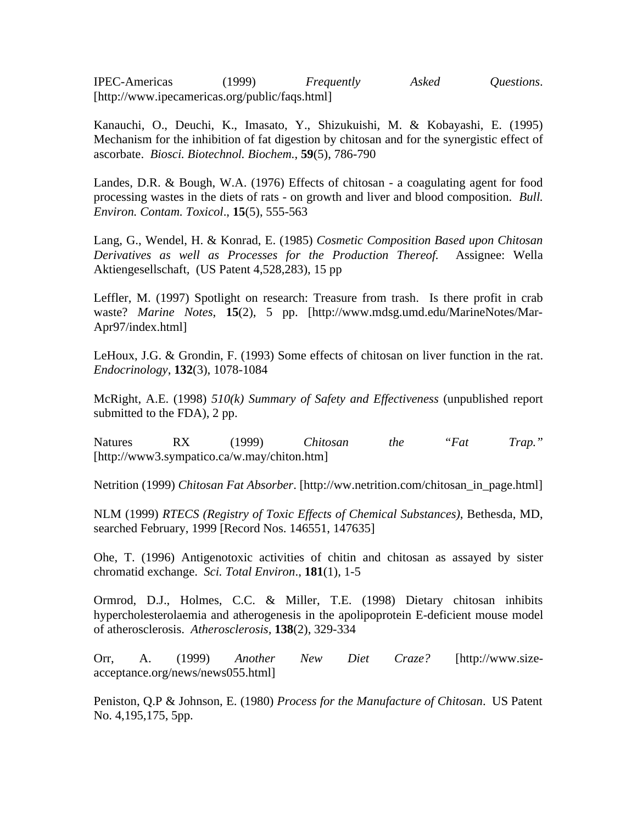IPEC-Americas (1999) *Frequently Asked Questions*. [http://www.ipecamericas.org/public/faqs.html]

Kanauchi, O., Deuchi, K., Imasato, Y., Shizukuishi, M. & Kobayashi, E. (1995) Mechanism for the inhibition of fat digestion by chitosan and for the synergistic effect of ascorbate. *Biosci. Biotechnol. Biochem.*, **59**(5), 786-790

Landes, D.R. & Bough, W.A. (1976) Effects of chitosan - a coagulating agent for food processing wastes in the diets of rats - on growth and liver and blood composition. *Bull. Environ. Contam. Toxicol*., **15**(5), 555-563

Lang, G., Wendel, H. & Konrad, E. (1985) *Cosmetic Composition Based upon Chitosan Derivatives as well as Processes for the Production Thereof.* Assignee: Wella Aktiengesellschaft*,* (US Patent 4,528,283), 15 pp

Leffler, M. (1997) Spotlight on research: Treasure from trash. Is there profit in crab waste? *Marine Notes*, **15**(2), 5 pp. [http://www.mdsg.umd.edu/MarineNotes/Mar-Apr97/index.html]

LeHoux, J.G. & Grondin, F. (1993) Some effects of chitosan on liver function in the rat. *Endocrinology*, **132**(3), 1078-1084

McRight, A.E. (1998) *510(k) Summary of Safety and Effectiveness* (unpublished report submitted to the FDA), 2 pp.

Natures RX (1999) *Chitosan the "Fat Trap."*  [http://www3.sympatico.ca/w.may/chiton.htm]

Netrition (1999) *Chitosan Fat Absorber*. [http://ww.netrition.com/chitosan\_in\_page.html]

NLM (1999) *RTECS (Registry of Toxic Effects of Chemical Substances)*, Bethesda, MD, searched February, 1999 [Record Nos. 146551, 147635]

Ohe, T. (1996) Antigenotoxic activities of chitin and chitosan as assayed by sister chromatid exchange. *Sci. Total Environ*., **181**(1), 1-5

Ormrod, D.J., Holmes, C.C. & Miller, T.E. (1998) Dietary chitosan inhibits hypercholesterolaemia and atherogenesis in the apolipoprotein E-deficient mouse model of atherosclerosis. *Atherosclerosis,* **138**(2), 329-334

Orr, A. (1999) *Another New Diet Craze?* [http://www.sizeacceptance.org/news/news055.html]

Peniston, Q.P & Johnson, E. (1980) *Process for the Manufacture of Chitosan*. US Patent No. 4,195,175, 5pp.